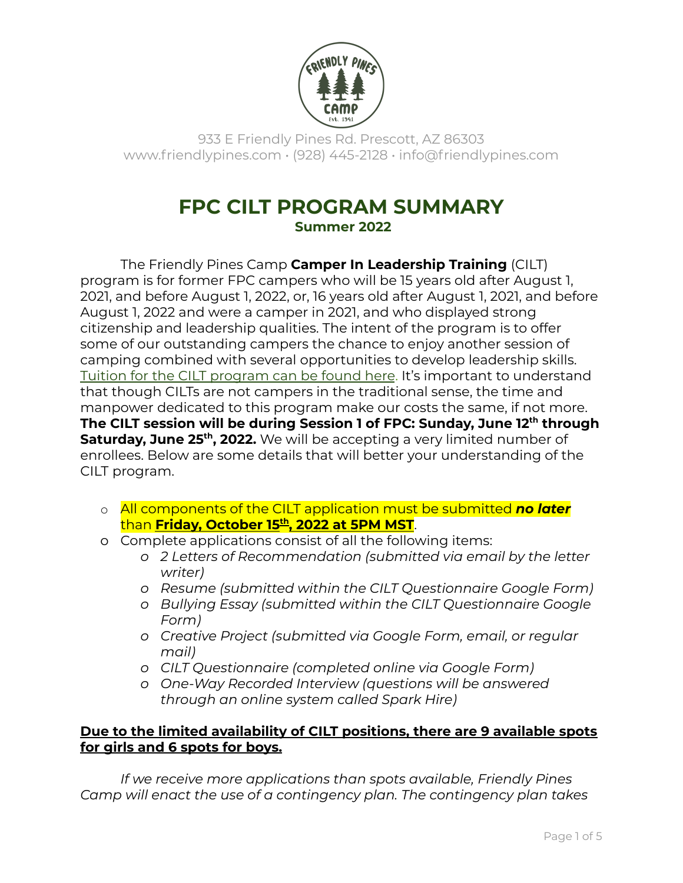

933 E Friendly Pines Rd. Prescott, AZ 86303 www.friendlypines.com • (928) 445-2128 • info@friendlypines.com

# **FPC CILT PROGRAM SUMMARY Summer 2022**

The Friendly Pines Camp **Camper In Leadership Training** (CILT) program is for former FPC campers who will be 15 years old after August 1, 2021, and before August 1, 2022, or, 16 years old after August 1, 2021, and before August 1, 2022 and were a camper in 2021, and who displayed strong citizenship and leadership qualities. The intent of the program is to offer some of our outstanding campers the chance to enjoy another session of camping combined with several opportunities to develop leadership skills. Tuition for the CILT [program](https://friendlypines.com/activities/cilt-and-cit/) can be found here. It's important to understand that though CILTs are not campers in the traditional sense, the time and manpower dedicated to this program make our costs the same, if not more. **The CILT session will be during Session 1 of FPC: Sunday, June 12 th through Saturday, June 25 th , 2022.** We will be accepting a very limited number of enrollees. Below are some details that will better your understanding of the CILT program.

- o All components of the CILT application must be submitted *no later* than **Friday, October 15 th , 2022 at 5PM MST**.
- o Complete applications consist of all the following items:
	- *o 2 Letters of [Recommendation](https://friendlypines.com/wp-content/uploads/2018/09/CILT-Letter-of-Rec-Explanation-2019.pdf) (submitted via email by the letter writer)*
	- *o Resume (submitted within the CILT Questionnaire Google Form)*
	- *o Bullying Essay (submitted within the CILT Questionnaire Google Form)*
	- *o Creative Project (submitted via Google Form, email, or regular mail)*
	- *o CILT Questionnaire (completed online via Google Form)*
	- *o One-Way Recorded Interview (questions will be answered through an online system called Spark Hire)*

### **Due to the limited availability of CILT positions, there are 9 available spots for girls and 6 spots for boys.**

*If we receive more applications than spots available, Friendly Pines Camp will enact the use of a contingency plan. The contingency plan takes*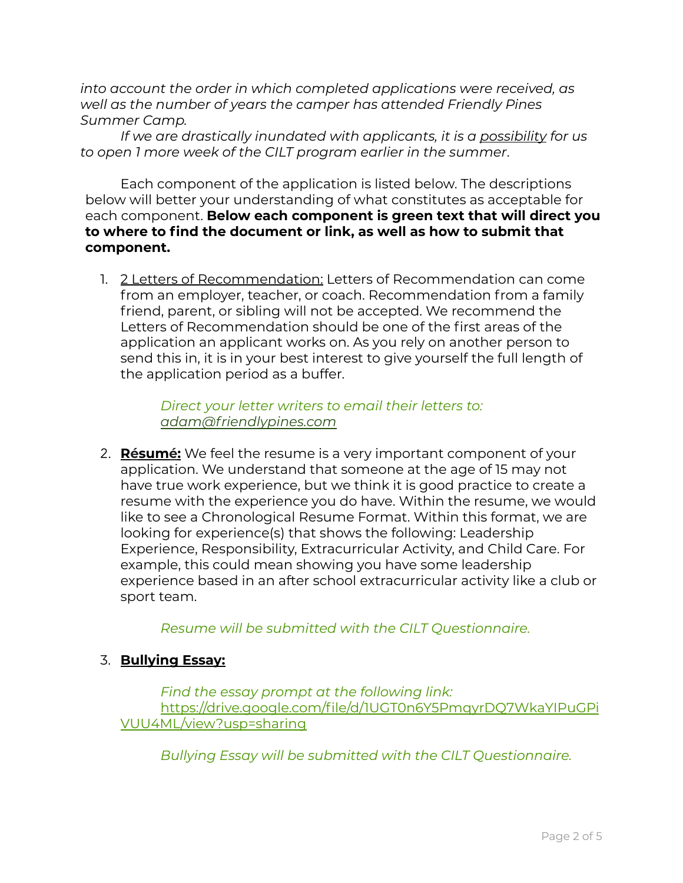*into account the order in which completed applications were received, as well as the number of years the camper has attended Friendly Pines Summer Camp.*

*If we are drastically inundated with applicants, it is a possibility for us to open 1 more week of the CILT program earlier in the summer*.

Each component of the application is listed below. The descriptions below will better your understanding of what constitutes as acceptable for each component. **Below each component is green text that will direct you to where to find the document or link, as well as how to submit that component.**

1. 2 Letters of Recommendation: Letters of Recommendation can come from an employer, teacher, or coach. Recommendation from a family friend, parent, or sibling will not be accepted. We recommend the Letters of Recommendation should be one of the first areas of the application an applicant works on. As you rely on another person to send this in, it is in your best interest to give yourself the full length of the application period as a buffer.

> *Direct your letter writers to email their letters to: [adam@friendlypines.com](mailto:adam@friendlypines.com)*

2. **Résumé:** We feel the resume is a very important component of your application. We understand that someone at the age of 15 may not have true work experience, but we think it is good practice to create a resume with the experience you do have. Within the resume, we would like to see a Chronological Resume Format. Within this format, we are looking for experience(s) that shows the following: Leadership Experience, Responsibility, Extracurricular Activity, and Child Care. For example, this could mean showing you have some leadership experience based in an after school extracurricular activity like a club or sport team.

*Resume will be submitted with the CILT Questionnaire.*

### 3. **Bullying Essay:**

*Find the essay prompt at the following link:* [https://drive.google.com/file/d/1UGT0n6Y5PmqyrDQ7WkaYIPuGPi](https://drive.google.com/file/d/1UGT0n6Y5PmqyrDQ7WkaYIPuGPiVUU4ML/view?usp=sharing) [VUU4ML/view?usp=sharing](https://drive.google.com/file/d/1UGT0n6Y5PmqyrDQ7WkaYIPuGPiVUU4ML/view?usp=sharing)

*Bullying Essay will be submitted with the CILT Questionnaire.*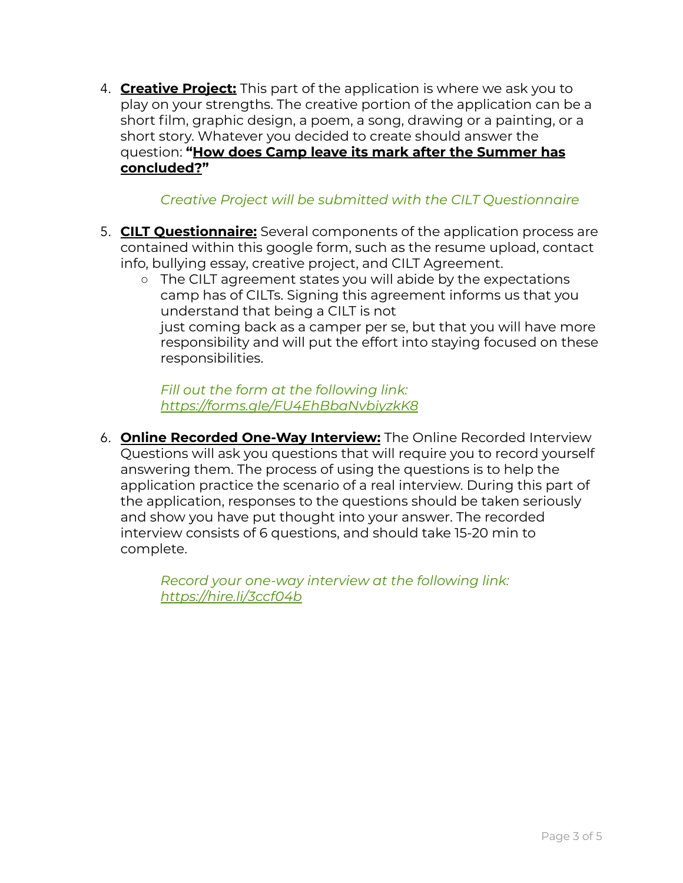4. **Creative Project:** This part of the application is where we ask you to play on your strengths. The creative portion of the application can be a short film, graphic design, a poem, a song, drawing or a painting, or a short story. Whatever you decided to create should answer the question: **"How does Camp leave its mark after the Summer has concluded?"**

### *Creative Project will be submitted with the CILT Questionnaire*

- 5. **CILT Questionnaire:** Several components of the application process are contained within this google form, such as the resume upload, contact info, bullying essay, creative project, and CILT Agreement.
	- The CILT agreement states you will abide by the expectations camp has of CILTs. Signing this agreement informs us that you understand that being a CILT is not just coming back as a camper per se, but that you will have more responsibility and will put the effort into staying focused on these responsibilities.

*Fill out the form at the following link: https:/ [forms.gle/FU4EhBbaNvbiyzkK8](https://forms.gle/FU4EhBbaNvbiyzkK8)*

6. **Online Recorded One-Way Interview:** The Online Recorded Interview Questions will ask you questions that will require you to record yourself answering them. The process of using the questions is to help the application practice the scenario of a real interview. During this part of the application, responses to the questions should be taken seriously and show you have put thought into your answer. The recorded interview consists of 6 questions, and should take 15-20 min to complete.

> *Record your one-way interview at the following link: https:/ [hire.li/3ccf04b](https://hire.li/3ccf04b)*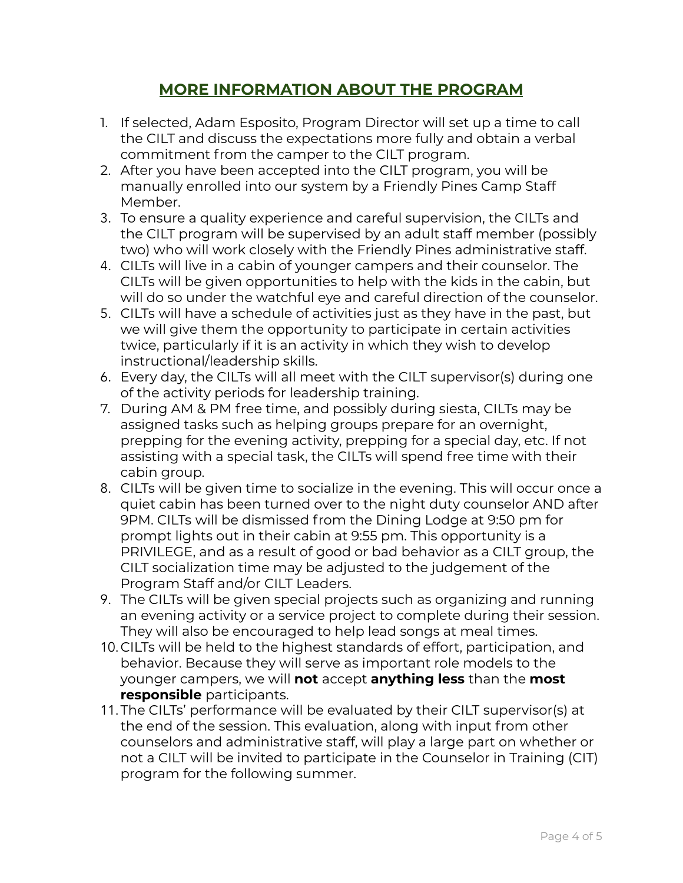## **MORE INFORMATION ABOUT THE PROGRAM**

- 1. If selected, Adam Esposito, Program Director will set up a time to call the CILT and discuss the expectations more fully and obtain a verbal commitment from the camper to the CILT program.
- 2. After you have been accepted into the CILT program, you will be manually enrolled into our system by a Friendly Pines Camp Staff Member.
- 3. To ensure a quality experience and careful supervision, the CILTs and the CILT program will be supervised by an adult staff member (possibly two) who will work closely with the Friendly Pines administrative staff.
- 4. CILTs will live in a cabin of younger campers and their counselor. The CILTs will be given opportunities to help with the kids in the cabin, but will do so under the watchful eye and careful direction of the counselor.
- 5. CILTs will have a schedule of activities just as they have in the past, but we will give them the opportunity to participate in certain activities twice, particularly if it is an activity in which they wish to develop instructional/leadership skills.
- 6. Every day, the CILTs will all meet with the CILT supervisor(s) during one of the activity periods for leadership training.
- 7. During AM & PM free time, and possibly during siesta, CILTs may be assigned tasks such as helping groups prepare for an overnight, prepping for the evening activity, prepping for a special day, etc. If not assisting with a special task, the CILTs will spend free time with their cabin group.
- 8. CILTs will be given time to socialize in the evening. This will occur once a quiet cabin has been turned over to the night duty counselor AND after 9PM. CILTs will be dismissed from the Dining Lodge at 9:50 pm for prompt lights out in their cabin at 9:55 pm. This opportunity is a PRIVILEGE, and as a result of good or bad behavior as a CILT group, the CILT socialization time may be adjusted to the judgement of the Program Staff and/or CILT Leaders.
- 9. The CILTs will be given special projects such as organizing and running an evening activity or a service project to complete during their session. They will also be encouraged to help lead songs at meal times.
- 10.CILTs will be held to the highest standards of effort, participation, and behavior. Because they will serve as important role models to the younger campers, we will **not** accept **anything less** than the **most responsible** participants.
- 11.The CILTs' performance will be evaluated by their CILT supervisor(s) at the end of the session. This evaluation, along with input from other counselors and administrative staff, will play a large part on whether or not a CILT will be invited to participate in the Counselor in Training (CIT) program for the following summer.